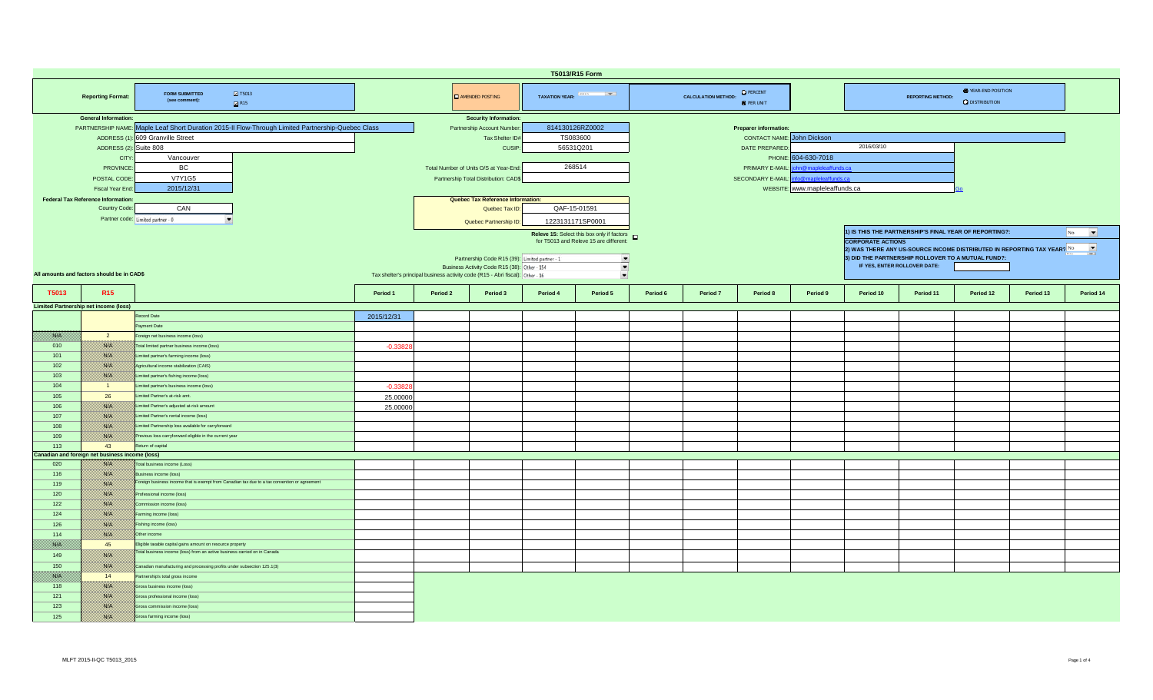|             |                                                 |                                                                                                   |            |          |                                                                                | T5013/R15 Form           |                                                   |          |                            |                                       |                                |                          |                              |                                                                         |           |                                |
|-------------|-------------------------------------------------|---------------------------------------------------------------------------------------------------|------------|----------|--------------------------------------------------------------------------------|--------------------------|---------------------------------------------------|----------|----------------------------|---------------------------------------|--------------------------------|--------------------------|------------------------------|-------------------------------------------------------------------------|-----------|--------------------------------|
|             | <b>Reporting Format:</b>                        | $\blacksquare$ T5013<br><b>FORM SUBMITTED</b><br>(see comment):<br>R15                            |            |          | <b>E</b> AMENDED POSTING                                                       | TAXATION YEAR: And Allen |                                                   |          | <b>CALCULATION METHOD:</b> | <b>O</b> PERCENT<br><b>O</b> PER UNIT |                                |                          | <b>REPORTING METHOD:</b>     | <b>O</b> YEAR-END POSITION<br><b>Q</b> DISTRIBUTION                     |           |                                |
|             | <b>General Information:</b>                     |                                                                                                   |            |          | <b>Security Information:</b>                                                   |                          |                                                   |          |                            |                                       |                                |                          |                              |                                                                         |           |                                |
|             |                                                 | PARTNERSHIP NAME: Maple Leaf Short Duration 2015-II Flow-Through Limited Partnership-Quebec Class |            |          | Partnership Account Number                                                     | 814130126RZ0002          |                                                   |          |                            | <b>Preparer information</b>           |                                |                          |                              |                                                                         |           |                                |
|             |                                                 | ADDRESS (1): 609 Granville Street                                                                 |            |          | Tax Shelter ID#                                                                | TS083600                 |                                                   |          |                            | <b>CONTACT NAME:</b> John Dickson     |                                |                          |                              |                                                                         |           |                                |
|             | ADDRESS (2): Suite 808                          |                                                                                                   |            |          | CUSIP:                                                                         | 56531Q201                |                                                   |          |                            | DATE PREPARED                         |                                | 2016/03/10               |                              |                                                                         |           |                                |
|             | <b>CITY</b>                                     | Vancouver                                                                                         |            |          |                                                                                |                          |                                                   |          |                            | PHONE:                                | 604-630-7018                   |                          |                              |                                                                         |           |                                |
|             | <b>PROVINCE</b>                                 | <b>BC</b>                                                                                         |            |          | Total Number of Units O/S at Year-End:                                         | 268514                   |                                                   |          |                            | PRIMARY E-MAIL:                       | in@mapleleaffunds.ca           |                          |                              |                                                                         |           |                                |
|             | POSTAL CODE                                     | <b>V7Y1G5</b>                                                                                     |            |          | Partnership Total Distribution: CAD\$                                          |                          |                                                   |          |                            | SECONDARY E-MAIL:                     | o@mapleleaffunds.ca            |                          |                              |                                                                         |           |                                |
|             | Fiscal Year End                                 | 2015/12/31                                                                                        |            |          |                                                                                |                          |                                                   |          |                            |                                       | WEBSITE: www.mapleleaffunds.ca |                          |                              |                                                                         |           |                                |
|             | <b>Federal Tax Reference Information:</b>       |                                                                                                   |            |          | Quebec Tax Reference Information:                                              |                          |                                                   |          |                            |                                       |                                |                          |                              |                                                                         |           |                                |
|             | Country Code:                                   | CAN                                                                                               |            |          | Quebec Tax ID                                                                  | QAF-15-01591             |                                                   |          |                            |                                       |                                |                          |                              |                                                                         |           |                                |
|             |                                                 |                                                                                                   |            |          |                                                                                |                          |                                                   |          |                            |                                       |                                |                          |                              |                                                                         |           |                                |
|             | Partner code: Limited partner - 0               |                                                                                                   |            |          | Quebec Partnership ID:                                                         | 1223131171SP0001         |                                                   |          |                            |                                       |                                |                          |                              |                                                                         |           |                                |
|             |                                                 |                                                                                                   |            |          |                                                                                |                          | Releve 15: Select this box only if factors $\Box$ |          |                            |                                       |                                |                          |                              | 1) IS THIS THE PARTNERSHIP'S FINAL YEAR OF REPORTING?:                  |           | $\overline{\phantom{a}}$<br>No |
|             |                                                 |                                                                                                   |            |          |                                                                                |                          | for T5013 and Releve 15 are different:            |          |                            |                                       |                                | <b>CORPORATE ACTIONS</b> |                              |                                                                         |           |                                |
|             |                                                 |                                                                                                   |            |          |                                                                                |                          |                                                   |          |                            |                                       |                                |                          |                              | 2) WAS THERE ANY US-SOURCE INCOME DISTRIBUTED IN REPORTING TAX YEAR? No |           | $\overline{\phantom{a}}$       |
|             |                                                 |                                                                                                   |            |          | Partnership Code R15 (39): Limited partner - 1                                 |                          | $\frac{1}{\sqrt{2}}$                              |          |                            |                                       |                                |                          |                              | 3) DID THE PARTNERSHIP ROLLOVER TO A MUTUAL FUND?:                      |           |                                |
|             | All amounts and factors should be in CAD\$      |                                                                                                   |            |          | Business Activity Code R15 (38): Other - 154                                   |                          |                                                   |          |                            |                                       |                                |                          | IF YES, ENTER ROLLOVER DATE: |                                                                         |           |                                |
|             |                                                 |                                                                                                   |            |          | Tax shelter's principal business activity code (R15 - Abri fiscal): Other - 16 |                          | $\overline{\phantom{a}}$                          |          |                            |                                       |                                |                          |                              |                                                                         |           |                                |
|             |                                                 |                                                                                                   |            |          |                                                                                |                          |                                                   |          |                            |                                       |                                |                          |                              |                                                                         |           |                                |
| T5013       | R <sub>15</sub>                                 |                                                                                                   | Period 1   | Period 2 | Period 3                                                                       | Period 4                 | Period 5                                          | Period 6 | Period 7                   | Period 8                              | Period 9                       | Period 10                | Period 11                    | Period 12                                                               | Period 13 | Period 14                      |
|             | <b>Limited Partnership net income (loss)</b>    |                                                                                                   |            |          |                                                                                |                          |                                                   |          |                            |                                       |                                |                          |                              |                                                                         |           |                                |
|             |                                                 | Record Date                                                                                       | 2015/12/31 |          |                                                                                |                          |                                                   |          |                            |                                       |                                |                          |                              |                                                                         |           |                                |
|             |                                                 | Payment Date                                                                                      |            |          |                                                                                |                          |                                                   |          |                            |                                       |                                |                          |                              |                                                                         |           |                                |
| film a      | $\overline{2}$                                  | Foreign net business income (loss)                                                                |            |          |                                                                                |                          |                                                   |          |                            |                                       |                                |                          |                              |                                                                         |           |                                |
| 010         | <b>Richel</b>                                   | Total limited partner business income (loss)                                                      | $-0.3382$  |          |                                                                                |                          |                                                   |          |                            |                                       |                                |                          |                              |                                                                         |           |                                |
| 101         | <u>1880 (M</u>                                  | Limited partner's farming income (loss)                                                           |            |          |                                                                                |                          |                                                   |          |                            |                                       |                                |                          |                              |                                                                         |           |                                |
| 102         | 1880 EU                                         | Agricultural income stabilization (CAIS)                                                          |            |          |                                                                                |                          |                                                   |          |                            |                                       |                                |                          |                              |                                                                         |           |                                |
| 103         | 1880 Oʻli                                       | Limited partner's fishing income (loss)                                                           |            |          |                                                                                |                          |                                                   |          |                            |                                       |                                |                          |                              |                                                                         |           |                                |
| 104         | $\blacksquare$                                  | Limited partner's business income (loss)                                                          | $-0.3382$  |          |                                                                                |                          |                                                   |          |                            |                                       |                                |                          |                              |                                                                         |           |                                |
|             |                                                 |                                                                                                   |            |          |                                                                                |                          |                                                   |          |                            |                                       |                                |                          |                              |                                                                         |           |                                |
| 105         | 26                                              | Limited Partner's at-risk amt.                                                                    | 25.00000   |          |                                                                                |                          |                                                   |          |                            |                                       |                                |                          |                              |                                                                         |           |                                |
| 106         | 1880.CH                                         | Limited Partner's adjusted at-risk amount                                                         | 25.00000   |          |                                                                                |                          |                                                   |          |                            |                                       |                                |                          |                              |                                                                         |           |                                |
| 107         | 1880 EU                                         | Limited Partner's rental income (loss)                                                            |            |          |                                                                                |                          |                                                   |          |                            |                                       |                                |                          |                              |                                                                         |           |                                |
| 108         | <b>RACHI</b>                                    | Limited Partnership loss available for carryforward                                               |            |          |                                                                                |                          |                                                   |          |                            |                                       |                                |                          |                              |                                                                         |           |                                |
| 109         | <b>RACHI</b>                                    | Previous loss carryforward eligible in the current year                                           |            |          |                                                                                |                          |                                                   |          |                            |                                       |                                |                          |                              |                                                                         |           |                                |
| 113         | 43                                              | Return of capital                                                                                 |            |          |                                                                                |                          |                                                   |          |                            |                                       |                                |                          |                              |                                                                         |           |                                |
|             | Canadian and foreign net business income (loss) |                                                                                                   |            |          |                                                                                |                          |                                                   |          |                            |                                       |                                |                          |                              |                                                                         |           |                                |
| 020         | <u>1880 (M</u>                                  | Total business income (Loss)                                                                      |            |          |                                                                                |                          |                                                   |          |                            |                                       |                                |                          |                              |                                                                         |           |                                |
| 116         | 1880.CH                                         | Business income (loss)                                                                            |            |          |                                                                                |                          |                                                   |          |                            |                                       |                                |                          |                              |                                                                         |           |                                |
| 119         | 1880 EU                                         | Foreign business income that is exempt from Canadian tax due to a tax convention or agreement     |            |          |                                                                                |                          |                                                   |          |                            |                                       |                                |                          |                              |                                                                         |           |                                |
| 120         | <b>RACHI</b>                                    | Professional income (loss)                                                                        |            |          |                                                                                |                          |                                                   |          |                            |                                       |                                |                          |                              |                                                                         |           |                                |
| 122         | <b>SSIP</b>                                     | Commission income (loss)                                                                          |            |          |                                                                                |                          |                                                   |          |                            |                                       |                                |                          |                              |                                                                         |           |                                |
| 124         | <u> 1880. SV</u>                                | Farming income (loss)                                                                             |            |          |                                                                                |                          |                                                   |          |                            |                                       |                                |                          |                              |                                                                         |           |                                |
| 126         | i sistemat                                      | Fishing income (loss)                                                                             |            |          |                                                                                |                          |                                                   |          |                            |                                       |                                |                          |                              |                                                                         |           |                                |
| 114         | 788 B                                           | Other income                                                                                      |            |          |                                                                                |                          |                                                   |          |                            |                                       |                                |                          |                              |                                                                         |           |                                |
| film ann an | 45                                              | Eligible taxable capital gains amount on resource property                                        |            |          |                                                                                |                          |                                                   |          |                            |                                       |                                |                          |                              |                                                                         |           |                                |
| 149         | 1880 EU                                         | Total business income (loss) from an active business carried on in Canada                         |            |          |                                                                                |                          |                                                   |          |                            |                                       |                                |                          |                              |                                                                         |           |                                |
|             |                                                 |                                                                                                   |            |          |                                                                                |                          |                                                   |          |                            |                                       |                                |                          |                              |                                                                         |           |                                |
| 150         | 1880 Oʻli                                       | Canadian manufacturing and processing profits under subsection 125.1(3)                           |            |          |                                                                                |                          |                                                   |          |                            |                                       |                                |                          |                              |                                                                         |           |                                |
| film an     | 14                                              | Partnership's total gross income                                                                  |            |          |                                                                                |                          |                                                   |          |                            |                                       |                                |                          |                              |                                                                         |           |                                |
| 118         | <u>1880 (M</u>                                  | Gross business income (loss)                                                                      |            |          |                                                                                |                          |                                                   |          |                            |                                       |                                |                          |                              |                                                                         |           |                                |
| 121         | <u> 1880. SV</u>                                | Gross professional income (loss)                                                                  |            |          |                                                                                |                          |                                                   |          |                            |                                       |                                |                          |                              |                                                                         |           |                                |
| 123         | 1880 EU                                         | Gross commission income (loss)                                                                    |            |          |                                                                                |                          |                                                   |          |                            |                                       |                                |                          |                              |                                                                         |           |                                |
| 125         | 1880 Oliveil                                    | Gross farming income (loss)                                                                       |            |          |                                                                                |                          |                                                   |          |                            |                                       |                                |                          |                              |                                                                         |           |                                |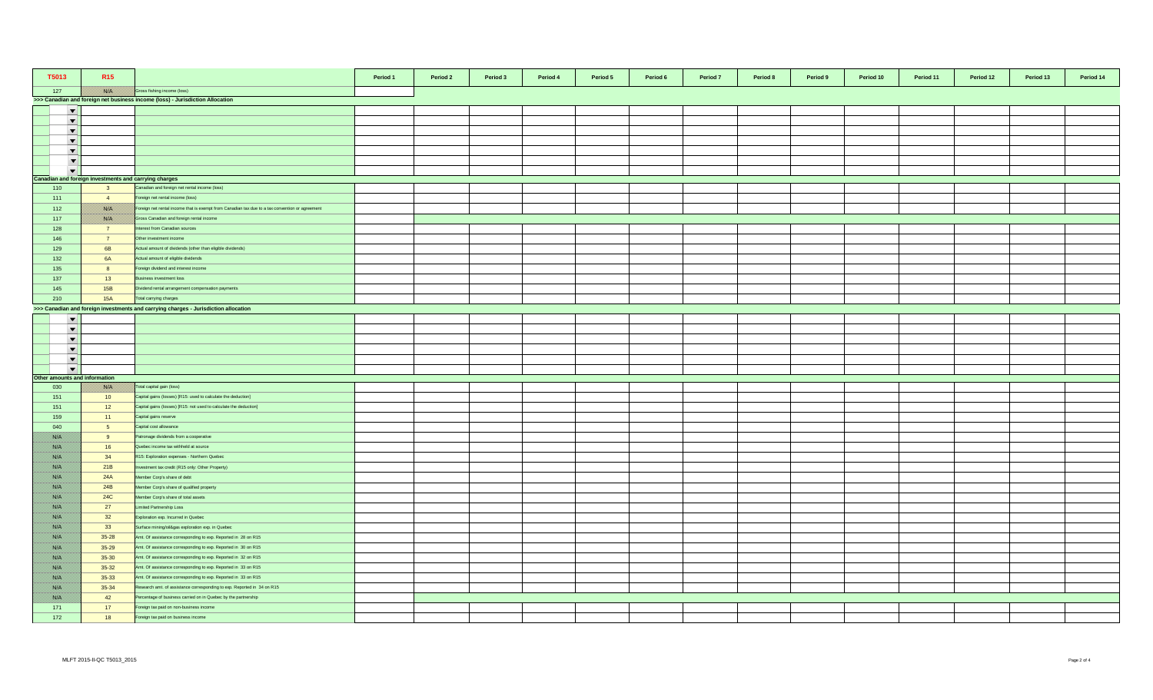| T5013                         | R <sub>15</sub>                                       |                                                                                                 | Period 1 | Period 2 | Period 3 | Period 4<br>Period 5 | Period 6 | Period 7 | Period 8 | Period 9 | Period 10 | Period 11 | Period 12 | Period 13 | Period 14 |
|-------------------------------|-------------------------------------------------------|-------------------------------------------------------------------------------------------------|----------|----------|----------|----------------------|----------|----------|----------|----------|-----------|-----------|-----------|-----------|-----------|
| 127                           |                                                       | Gross fishing income (loss)                                                                     |          |          |          |                      |          |          |          |          |           |           |           |           |           |
|                               |                                                       | >>> Canadian and foreign net business income (loss) - Jurisdiction Allocation                   |          |          |          |                      |          |          |          |          |           |           |           |           |           |
| $\overline{\phantom{a}}$      |                                                       |                                                                                                 |          |          |          |                      |          |          |          |          |           |           |           |           |           |
| $\overline{\phantom{a}}$      |                                                       |                                                                                                 |          |          |          |                      |          |          |          |          |           |           |           |           |           |
| $\overline{\phantom{a}}$      |                                                       |                                                                                                 |          |          |          |                      |          |          |          |          |           |           |           |           |           |
| $\blacktriangledown$          |                                                       |                                                                                                 |          |          |          |                      |          |          |          |          |           |           |           |           |           |
| $\blacktriangledown$          |                                                       |                                                                                                 |          |          |          |                      |          |          |          |          |           |           |           |           |           |
| $\overline{\phantom{a}}$      |                                                       |                                                                                                 |          |          |          |                      |          |          |          |          |           |           |           |           |           |
| $\overline{\phantom{a}}$      |                                                       |                                                                                                 |          |          |          |                      |          |          |          |          |           |           |           |           |           |
|                               | Canadian and foreign investments and carrying charges |                                                                                                 |          |          |          |                      |          |          |          |          |           |           |           |           |           |
| 110                           | $\overline{\mathbf{3}}$                               | Canadian and foreign net rental income (loss)                                                   |          |          |          |                      |          |          |          |          |           |           |           |           |           |
| 111                           | $\overline{4}$                                        | Foreign net rental income (loss)                                                                |          |          |          |                      |          |          |          |          |           |           |           |           |           |
| 112                           | <u> British</u>                                       | Foreign net rental income that is exempt from Canadian tax due to a tax convention or agreement |          |          |          |                      |          |          |          |          |           |           |           |           |           |
| 117                           | <b>BARTA</b>                                          | Gross Canadian and foreign rental income                                                        |          |          |          |                      |          |          |          |          |           |           |           |           |           |
| 128                           | $\overline{7}$                                        | terest from Canadian sources                                                                    |          |          |          |                      |          |          |          |          |           |           |           |           |           |
| 146                           | $\overline{7}$                                        | Other investment income                                                                         |          |          |          |                      |          |          |          |          |           |           |           |           |           |
| 129                           | 6B                                                    | Actual amount of dividends (other than eligible dividends)                                      |          |          |          |                      |          |          |          |          |           |           |           |           |           |
| 132                           | <b>6A</b>                                             | Actual amount of eligible dividends                                                             |          |          |          |                      |          |          |          |          |           |           |           |           |           |
| 135                           | 8                                                     | Foreign dividend and interest income                                                            |          |          |          |                      |          |          |          |          |           |           |           |           |           |
| 137                           | 13                                                    | Business investment loss                                                                        |          |          |          |                      |          |          |          |          |           |           |           |           |           |
| 145                           | 15B                                                   | Dividend rental arrangement compensation payments                                               |          |          |          |                      |          |          |          |          |           |           |           |           |           |
| 210                           | <b>15A</b>                                            | Total carrying charges                                                                          |          |          |          |                      |          |          |          |          |           |           |           |           |           |
|                               |                                                       | >>> Canadian and foreign investments and carrying charges - Jurisdiction allocation             |          |          |          |                      |          |          |          |          |           |           |           |           |           |
| $\blacktriangledown$          |                                                       |                                                                                                 |          |          |          |                      |          |          |          |          |           |           |           |           |           |
| $\overline{\phantom{a}}$      |                                                       |                                                                                                 |          |          |          |                      |          |          |          |          |           |           |           |           |           |
| $\overline{\phantom{a}}$      |                                                       |                                                                                                 |          |          |          |                      |          |          |          |          |           |           |           |           |           |
| $\overline{\phantom{a}}$      |                                                       |                                                                                                 |          |          |          |                      |          |          |          |          |           |           |           |           |           |
| $\blacktriangledown$          |                                                       |                                                                                                 |          |          |          |                      |          |          |          |          |           |           |           |           |           |
| $\overline{\phantom{a}}$      |                                                       |                                                                                                 |          |          |          |                      |          |          |          |          |           |           |           |           |           |
| Other amounts and information |                                                       |                                                                                                 |          |          |          |                      |          |          |          |          |           |           |           |           |           |
| 030                           | <b>BATH</b>                                           | Total capital gain (loss)                                                                       |          |          |          |                      |          |          |          |          |           |           |           |           |           |
| 151                           | 10 <sup>°</sup>                                       | Capital gains (losses) [R15: used to calculate the deduction]                                   |          |          |          |                      |          |          |          |          |           |           |           |           |           |
| 151                           | 12                                                    | Capital gains (losses) [R15: not used to calculate the deduction]                               |          |          |          |                      |          |          |          |          |           |           |           |           |           |
| 159                           | 11                                                    | Capital gains reserve                                                                           |          |          |          |                      |          |          |          |          |           |           |           |           |           |
| 040                           | 5 <sub>5</sub>                                        | Capital cost allowance                                                                          |          |          |          |                      |          |          |          |          |           |           |           |           |           |
| <u> Birliy</u>                | 9                                                     | Patronage dividends from a cooperative                                                          |          |          |          |                      |          |          |          |          |           |           |           |           |           |
| <u> Birth</u>                 | 16                                                    | Quebec income tax withheld at source                                                            |          |          |          |                      |          |          |          |          |           |           |           |           |           |
| <u> British</u>               | 34                                                    | R15: Exploration expenses - Northern Quebec                                                     |          |          |          |                      |          |          |          |          |           |           |           |           |           |
| <u> Birth</u>                 | 21B                                                   | westment tax credit (R15 only: Other Property)                                                  |          |          |          |                      |          |          |          |          |           |           |           |           |           |
| <u>filman</u>                 | 24A                                                   | Member Corp's share of debt                                                                     |          |          |          |                      |          |          |          |          |           |           |           |           |           |
| BANG K                        | 24B                                                   | Member Corp's share of qualified property                                                       |          |          |          |                      |          |          |          |          |           |           |           |           |           |
| //www                         | <b>24C</b>                                            | Member Corp's share of total assets                                                             |          |          |          |                      |          |          |          |          |           |           |           |           |           |
| film ann a                    | 27                                                    | Limited Partnership Loss                                                                        |          |          |          |                      |          |          |          |          |           |           |           |           |           |
| Birth M                       | 32                                                    | Exploration exp. Incurred in Quebec                                                             |          |          |          |                      |          |          |          |          |           |           |           |           |           |
| <u> British</u>               | 33                                                    | Surface mining/oil&gas exploration exp. in Quebec                                               |          |          |          |                      |          |          |          |          |           |           |           |           |           |
| <u>filman</u>                 | $35 - 28$                                             | Amt. Of assistance corresponding to exp. Reported in 28 on R15                                  |          |          |          |                      |          |          |          |          |           |           |           |           |           |
| //www                         | $35 - 29$                                             | Amt. Of assistance corresponding to exp. Reported in 30 on R15                                  |          |          |          |                      |          |          |          |          |           |           |           |           |           |
| <u> British</u>               | $35 - 30$                                             | Amt. Of assistance corresponding to exp. Reported in 32 on R15                                  |          |          |          |                      |          |          |          |          |           |           |           |           |           |
| <u> Birth</u>                 | $35 - 32$                                             | Amt. Of assistance corresponding to exp. Reported in 33 on R15                                  |          |          |          |                      |          |          |          |          |           |           |           |           |           |
| BAKT S                        | $35 - 33$                                             | Amt. Of assistance corresponding to exp. Reported in 33 on R15                                  |          |          |          |                      |          |          |          |          |           |           |           |           |           |
| <u> British</u>               | $35 - 34$                                             | Research amt. of assistance corresponding to exp. Reported in 34 on R15                         |          |          |          |                      |          |          |          |          |           |           |           |           |           |
| //www                         | 42                                                    | Percentage of business carried on in Quebec by the partnership                                  |          |          |          |                      |          |          |          |          |           |           |           |           |           |
| 171                           | 17                                                    | Foreign tax paid on non-business income                                                         |          |          |          |                      |          |          |          |          |           |           |           |           |           |
| 172                           | 18                                                    | Foreign tax paid on business income                                                             |          |          |          |                      |          |          |          |          |           |           |           |           |           |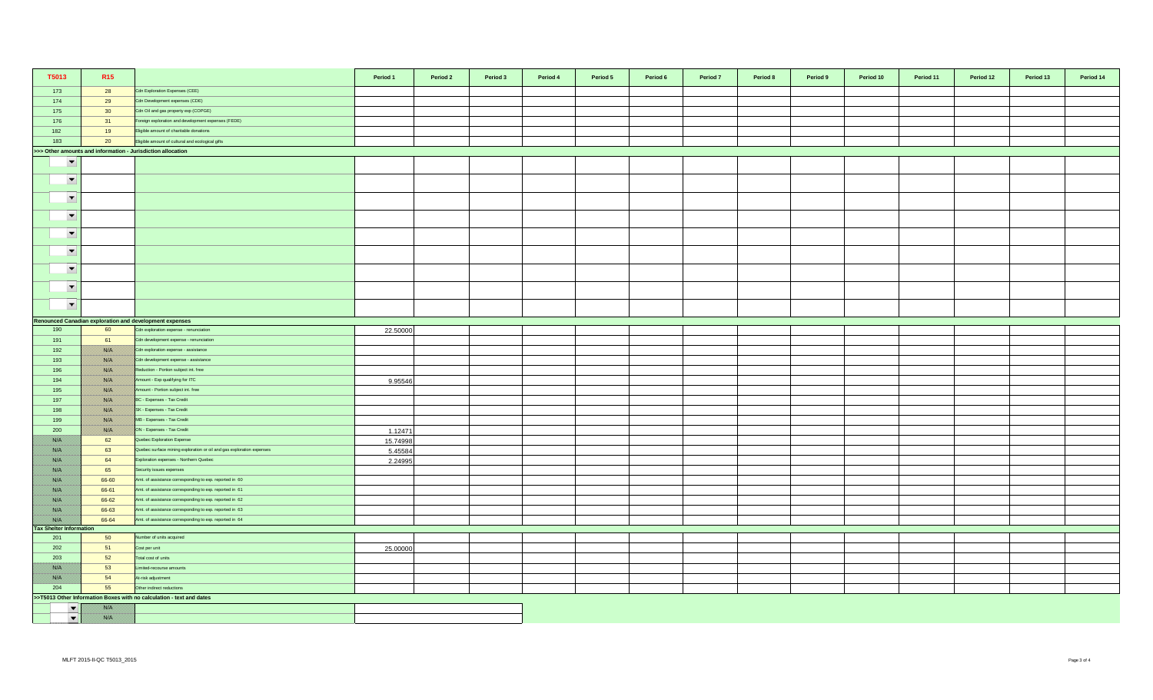| T5013                                 | R <sub>15</sub>                                             |                                                                       | Period 1 | Period 2 | Period 3 | Period 4 | Period 5 | Period 6 | Period 7 | Period 8 | Period 9 | Period 10 | Period 11 | Period 12 | Period 13 | Period 14 |
|---------------------------------------|-------------------------------------------------------------|-----------------------------------------------------------------------|----------|----------|----------|----------|----------|----------|----------|----------|----------|-----------|-----------|-----------|-----------|-----------|
| 173                                   | 28                                                          | Cdn Exploration Expenses (CEE)                                        |          |          |          |          |          |          |          |          |          |           |           |           |           |           |
| 174                                   | 29                                                          | Cdn Development expenses (CDE)                                        |          |          |          |          |          |          |          |          |          |           |           |           |           |           |
| 175                                   | 30 <sup>°</sup>                                             | Cdn Oil and gas property exp (COPGE)                                  |          |          |          |          |          |          |          |          |          |           |           |           |           |           |
| 176                                   | 31                                                          | Foreign exploration and development expenses (FEDE)                   |          |          |          |          |          |          |          |          |          |           |           |           |           |           |
| 182                                   | 19                                                          | Eligible amount of charitable donations                               |          |          |          |          |          |          |          |          |          |           |           |           |           |           |
| 183                                   | 20                                                          | Eligible amount of cultural and ecological gifts                      |          |          |          |          |          |          |          |          |          |           |           |           |           |           |
|                                       | >>> Other amounts and information - Jurisdiction allocation |                                                                       |          |          |          |          |          |          |          |          |          |           |           |           |           |           |
| $\overline{\phantom{a}}$              |                                                             |                                                                       |          |          |          |          |          |          |          |          |          |           |           |           |           |           |
| $\overline{\phantom{a}}$              |                                                             |                                                                       |          |          |          |          |          |          |          |          |          |           |           |           |           |           |
| $\overline{\phantom{a}}$              |                                                             |                                                                       |          |          |          |          |          |          |          |          |          |           |           |           |           |           |
| $\blacktriangledown$                  |                                                             |                                                                       |          |          |          |          |          |          |          |          |          |           |           |           |           |           |
| $\overline{\phantom{a}}$              |                                                             |                                                                       |          |          |          |          |          |          |          |          |          |           |           |           |           |           |
| $\blacktriangledown$                  |                                                             |                                                                       |          |          |          |          |          |          |          |          |          |           |           |           |           |           |
| $\overline{\phantom{a}}$              |                                                             |                                                                       |          |          |          |          |          |          |          |          |          |           |           |           |           |           |
| $\overline{\phantom{a}}$              |                                                             |                                                                       |          |          |          |          |          |          |          |          |          |           |           |           |           |           |
| $\blacktriangledown$                  |                                                             |                                                                       |          |          |          |          |          |          |          |          |          |           |           |           |           |           |
|                                       |                                                             | Renounced Canadian exploration and development expenses               |          |          |          |          |          |          |          |          |          |           |           |           |           |           |
| 190                                   | 60                                                          | Cdn exploration expense - renunciation                                | 22.50000 |          |          |          |          |          |          |          |          |           |           |           |           |           |
| 191                                   | 61                                                          | Cdn development expense - renunciation                                |          |          |          |          |          |          |          |          |          |           |           |           |           |           |
| 192                                   | <u> Bibliotzak</u>                                          | Cdn exploration expense - assistance                                  |          |          |          |          |          |          |          |          |          |           |           |           |           |           |
| 193                                   |                                                             | Cdn development expense - assistance                                  |          |          |          |          |          |          |          |          |          |           |           |           |           |           |
| 196                                   | <u>    Kisiki </u>                                          | Reduction - Portion subject int. free                                 |          |          |          |          |          |          |          |          |          |           |           |           |           |           |
| 194                                   | <u> Bishkil</u>                                             | Amount - Exp qualifying for ITC                                       | 9.95546  |          |          |          |          |          |          |          |          |           |           |           |           |           |
| 195                                   | <u> ISSUS I</u>                                             | Amount - Portion subject int. free                                    |          |          |          |          |          |          |          |          |          |           |           |           |           |           |
| 197                                   | <b>BARA</b>                                                 | BC - Expenses - Tax Credit                                            |          |          |          |          |          |          |          |          |          |           |           |           |           |           |
| 198                                   |                                                             | SK - Expenses - Tax Credit                                            |          |          |          |          |          |          |          |          |          |           |           |           |           |           |
| 199                                   |                                                             | MB - Expenses - Tax Credit                                            |          |          |          |          |          |          |          |          |          |           |           |           |           |           |
| 200                                   | USSA S                                                      | ON - Expenses - Tax Credit                                            | 1.12471  |          |          |          |          |          |          |          |          |           |           |           |           |           |
| film an                               | 62                                                          | Quebec Exploration Expense                                            | 15.74998 |          |          |          |          |          |          |          |          |           |           |           |           |           |
| <u> Biblioth</u>                      | 63                                                          | Quebec surface mining exploration or oil and gas exploration expenses | 5.45584  |          |          |          |          |          |          |          |          |           |           |           |           |           |
| <u> Biblioth</u>                      | 64                                                          | Exploration expenses - Northern Quebec                                | 2.24995  |          |          |          |          |          |          |          |          |           |           |           |           |           |
| <u> Wissels I</u>                     | 65                                                          | Security issues expenses                                              |          |          |          |          |          |          |          |          |          |           |           |           |           |           |
| 78. S                                 | 66-60                                                       | Amt. of assistance corresponding to exp. reported in 60               |          |          |          |          |          |          |          |          |          |           |           |           |           |           |
| <u> Karl I</u>                        | 66-61                                                       | Amt. of assistance corresponding to exp. reported in 61               |          |          |          |          |          |          |          |          |          |           |           |           |           |           |
| <u> British</u>                       | 66-62                                                       | Amt. of assistance corresponding to exp. reported in 62               |          |          |          |          |          |          |          |          |          |           |           |           |           |           |
|                                       | 66-63                                                       | Amt. of assistance corresponding to exp. reported in 63               |          |          |          |          |          |          |          |          |          |           |           |           |           |           |
|                                       | 66-64                                                       | Amt. of assistance corresponding to exp. reported in 64               |          |          |          |          |          |          |          |          |          |           |           |           |           |           |
| <b>Tax Shelter Information</b><br>201 | 50                                                          | lumber of units acquired                                              |          |          |          |          |          |          |          |          |          |           |           |           |           |           |
| 202                                   | 51                                                          | Cost per unit                                                         | 25.00000 |          |          |          |          |          |          |          |          |           |           |           |           |           |
| 203                                   | 52                                                          | Total cost of units                                                   |          |          |          |          |          |          |          |          |          |           |           |           |           |           |
|                                       | 53                                                          | imited-recourse amounts                                               |          |          |          |          |          |          |          |          |          |           |           |           |           |           |
|                                       | 54                                                          | At-risk adjustment                                                    |          |          |          |          |          |          |          |          |          |           |           |           |           |           |
| 204                                   | 55                                                          | Other indirect reductions                                             |          |          |          |          |          |          |          |          |          |           |           |           |           |           |
|                                       |                                                             | >>T5013 Other Information Boxes with no calculation - text and dates  |          |          |          |          |          |          |          |          |          |           |           |           |           |           |
| $\blacktriangledown$                  |                                                             |                                                                       |          |          |          |          |          |          |          |          |          |           |           |           |           |           |
| $\blacktriangledown$                  | film an                                                     |                                                                       |          |          |          |          |          |          |          |          |          |           |           |           |           |           |